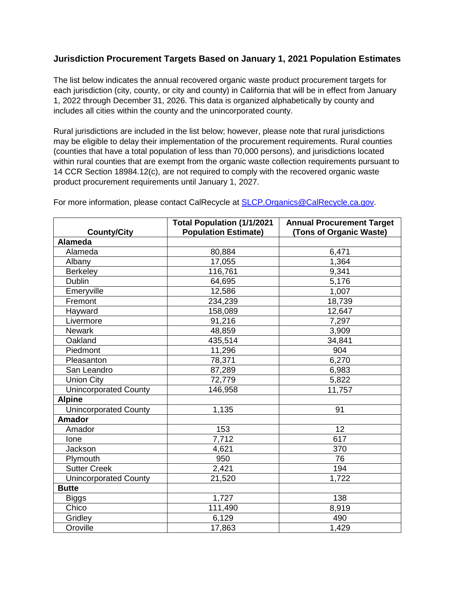## **Jurisdiction Procurement Targets Based on January 1, 2021 Population Estimates**

The list below indicates the annual recovered organic waste product procurement targets for each jurisdiction (city, county, or city and county) in California that will be in effect from January 1, 2022 through December 31, 2026. This data is organized alphabetically by county and includes all cities within the county and the unincorporated county.

Rural jurisdictions are included in the list below; however, please note that rural jurisdictions may be eligible to delay their implementation of the procurement requirements. Rural counties (counties that have a total population of less than 70,000 persons), and jurisdictions located within rural counties that are exempt from the organic waste collection requirements pursuant to 14 CCR Section 18984.12(c), are not required to comply with the recovered organic waste product procurement requirements until January 1, 2027.

|                              | <b>Total Population (1/1/2021</b> | <b>Annual Procurement Target</b> |
|------------------------------|-----------------------------------|----------------------------------|
| <b>County/City</b>           | <b>Population Estimate)</b>       | (Tons of Organic Waste)          |
| Alameda                      |                                   |                                  |
| Alameda                      | 80,884                            | 6,471                            |
| Albany                       | 17,055                            | 1,364                            |
| Berkeley                     | 116,761                           | 9,341                            |
| <b>Dublin</b>                | 64,695                            | 5,176                            |
| Emeryville                   | 12,586                            | 1,007                            |
| Fremont                      | 234,239                           | 18,739                           |
| Hayward                      | 158,089                           | 12,647                           |
| Livermore                    | 91,216                            | 7,297                            |
| <b>Newark</b>                | 48,859                            | 3,909                            |
| Oakland                      | 435,514                           | 34,841                           |
| Piedmont                     | 11,296                            | 904                              |
| Pleasanton                   | 78,371                            | 6,270                            |
| San Leandro                  | 87,289                            | 6,983                            |
| <b>Union City</b>            | 72,779                            | 5,822                            |
| Unincorporated County        | 146,958                           | 11,757                           |
| <b>Alpine</b>                |                                   |                                  |
| <b>Unincorporated County</b> | 1,135                             | 91                               |
| <b>Amador</b>                |                                   |                                  |
| Amador                       | 153                               | 12                               |
| Ione                         | 7,712                             | 617                              |
| Jackson                      | 4,621                             | 370                              |
| Plymouth                     | 950                               | 76                               |
| <b>Sutter Creek</b>          | 2,421                             | 194                              |
| <b>Unincorporated County</b> | 21,520                            | 1,722                            |
| <b>Butte</b>                 |                                   |                                  |
| <b>Biggs</b>                 | 1,727                             | 138                              |
| Chico                        | 111,490                           | 8,919                            |
| Gridley                      | 6,129                             | 490                              |
| Oroville                     | 17,863                            | 1,429                            |

For more information, please contact CalRecycle at [SLCP.Organics@CalRecycle.ca.gov.](mailto:SLCP.Organics@CalRecycle.ca.gov)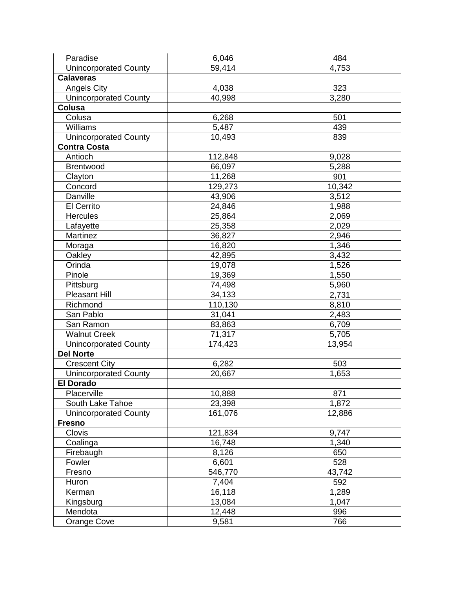| Paradise                     | 6,046   | 484    |
|------------------------------|---------|--------|
| <b>Unincorporated County</b> | 59,414  | 4,753  |
| <b>Calaveras</b>             |         |        |
| Angels City                  | 4,038   | 323    |
| <b>Unincorporated County</b> | 40,998  | 3,280  |
| Colusa                       |         |        |
| Colusa                       | 6,268   | 501    |
| <b>Williams</b>              | 5,487   | 439    |
| <b>Unincorporated County</b> | 10,493  | 839    |
| <b>Contra Costa</b>          |         |        |
| Antioch                      | 112,848 | 9,028  |
| <b>Brentwood</b>             | 66,097  | 5,288  |
| Clayton                      | 11,268  | 901    |
| Concord                      | 129,273 | 10,342 |
| Danville                     | 43,906  | 3,512  |
| El Cerrito                   | 24,846  | 1,988  |
| <b>Hercules</b>              | 25,864  | 2,069  |
| Lafayette                    | 25,358  | 2,029  |
| Martinez                     | 36,827  | 2,946  |
| Moraga                       | 16,820  | 1,346  |
| Oakley                       | 42,895  | 3,432  |
| Orinda                       | 19,078  | 1,526  |
| Pinole                       | 19,369  | 1,550  |
| Pittsburg                    | 74,498  | 5,960  |
| <b>Pleasant Hill</b>         | 34,133  | 2,731  |
| Richmond                     | 110,130 | 8,810  |
| San Pablo                    | 31,041  | 2,483  |
| San Ramon                    | 83,863  | 6,709  |
| <b>Walnut Creek</b>          | 71,317  | 5,705  |
| <b>Unincorporated County</b> | 174,423 | 13,954 |
| <b>Del Norte</b>             |         |        |
| <b>Crescent City</b>         | 6,282   | 503    |
| <b>Unincorporated County</b> | 20,667  | 1,653  |
| <b>El Dorado</b>             |         |        |
| Placerville                  | 10,888  | 871    |
| South Lake Tahoe             | 23,398  | 1,872  |
| <b>Unincorporated County</b> | 161,076 | 12,886 |
| <b>Fresno</b>                |         |        |
| Clovis                       | 121,834 | 9,747  |
| Coalinga                     | 16,748  | 1,340  |
| Firebaugh                    | 8,126   | 650    |
| Fowler                       | 6,601   | 528    |
| Fresno                       | 546,770 | 43,742 |
| Huron                        | 7,404   | 592    |
| Kerman                       | 16,118  | 1,289  |
| Kingsburg                    | 13,084  | 1,047  |
| Mendota                      | 12,448  | 996    |
| Orange Cove                  | 9,581   | 766    |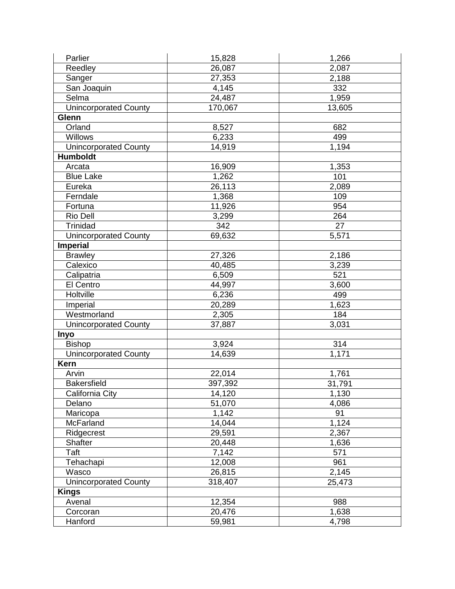| Parlier                      | 15,828  | 1,266           |
|------------------------------|---------|-----------------|
| Reedley                      | 26,087  | 2,087           |
| Sanger                       | 27,353  | 2,188           |
| San Joaquin                  | 4,145   | 332             |
| Selma                        | 24,487  | 1,959           |
| <b>Unincorporated County</b> | 170,067 | 13,605          |
| Glenn                        |         |                 |
| Orland                       | 8,527   | 682             |
| <b>Willows</b>               | 6,233   | 499             |
| <b>Unincorporated County</b> | 14,919  | 1,194           |
| <b>Humboldt</b>              |         |                 |
| Arcata                       | 16,909  | 1,353           |
| <b>Blue Lake</b>             | 1,262   | 101             |
| Eureka                       | 26,113  | 2,089           |
| Ferndale                     | 1,368   | 109             |
| Fortuna                      | 11,926  | 954             |
| Rio Dell                     | 3,299   | 264             |
| Trinidad                     | 342     | $\overline{27}$ |
| <b>Unincorporated County</b> | 69,632  | 5,571           |
| <b>Imperial</b>              |         |                 |
| <b>Brawley</b>               | 27,326  | 2,186           |
| Calexico                     | 40,485  | 3,239           |
| Calipatria                   | 6,509   | 521             |
| El Centro                    | 44,997  | 3,600           |
| Holtville                    | 6,236   | 499             |
| Imperial                     | 20,289  | 1,623           |
| Westmorland                  | 2,305   | 184             |
| <b>Unincorporated County</b> | 37,887  | 3,031           |
| Inyo                         |         |                 |
| <b>Bishop</b>                | 3,924   | 314             |
| <b>Unincorporated County</b> | 14,639  | 1,171           |
| <b>Kern</b>                  |         |                 |
| Arvin                        | 22,014  | 1,761           |
| <b>Bakersfield</b>           | 397,392 | 31,791          |
| California City              | 14,120  | 1,130           |
| Delano                       | 51,070  | 4,086           |
| Maricopa                     | 1,142   | 91              |
| McFarland                    | 14,044  | 1,124           |
| Ridgecrest                   | 29,591  | 2,367           |
| <b>Shafter</b>               | 20,448  | 1,636           |
| Taft                         | 7,142   | 571             |
| Tehachapi                    | 12,008  | 961             |
| Wasco                        | 26,815  | 2,145           |
| <b>Unincorporated County</b> | 318,407 | 25,473          |
| <b>Kings</b>                 |         |                 |
| Avenal                       | 12,354  | 988             |
| Corcoran                     | 20,476  | 1,638           |
| Hanford                      | 59,981  | 4,798           |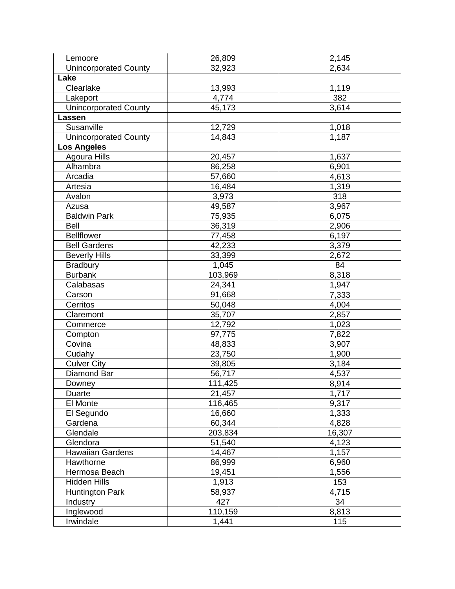| Lemoore                      | 26,809  | 2,145  |
|------------------------------|---------|--------|
| <b>Unincorporated County</b> | 32,923  | 2,634  |
| Lake                         |         |        |
| Clearlake                    | 13,993  | 1,119  |
| Lakeport                     | 4,774   | 382    |
| <b>Unincorporated County</b> | 45,173  | 3,614  |
| Lassen                       |         |        |
| Susanville                   | 12,729  | 1,018  |
| <b>Unincorporated County</b> | 14,843  | 1,187  |
| <b>Los Angeles</b>           |         |        |
| Agoura Hills                 | 20,457  | 1,637  |
| Alhambra                     | 86,258  | 6,901  |
| Arcadia                      | 57,660  | 4,613  |
| Artesia                      | 16,484  | 1,319  |
| Avalon                       | 3,973   | 318    |
| Azusa                        | 49,587  | 3,967  |
| <b>Baldwin Park</b>          | 75,935  | 6,075  |
| Bell                         | 36,319  | 2,906  |
| <b>Bellflower</b>            | 77,458  | 6,197  |
| <b>Bell Gardens</b>          | 42,233  | 3,379  |
| <b>Beverly Hills</b>         | 33,399  | 2,672  |
| <b>Bradbury</b>              | 1,045   | 84     |
| <b>Burbank</b>               | 103,969 | 8,318  |
| Calabasas                    | 24,341  | 1,947  |
| Carson                       | 91,668  | 7,333  |
| Cerritos                     | 50,048  | 4,004  |
| Claremont                    | 35,707  | 2,857  |
| Commerce                     | 12,792  | 1,023  |
| Compton                      | 97,775  | 7,822  |
| Covina                       | 48,833  | 3,907  |
| Cudahy                       | 23,750  | 1,900  |
| <b>Culver City</b>           | 39,805  | 3,184  |
| Diamond Bar                  | 56,717  | 4,537  |
| Downey                       | 111,425 | 8,914  |
| Duarte                       | 21,457  | 1,717  |
| El Monte                     | 116,465 | 9,317  |
| El Segundo                   | 16,660  | 1,333  |
| Gardena                      | 60,344  | 4,828  |
| Glendale                     | 203,834 | 16,307 |
| Glendora                     | 51,540  | 4,123  |
| <b>Hawaiian Gardens</b>      | 14,467  | 1,157  |
| Hawthorne                    | 86,999  | 6,960  |
| Hermosa Beach                | 19,451  | 1,556  |
| <b>Hidden Hills</b>          | 1,913   | 153    |
| <b>Huntington Park</b>       | 58,937  | 4,715  |
| Industry                     | 427     | 34     |
| Inglewood                    | 110,159 | 8,813  |
| Irwindale                    | 1,441   | 115    |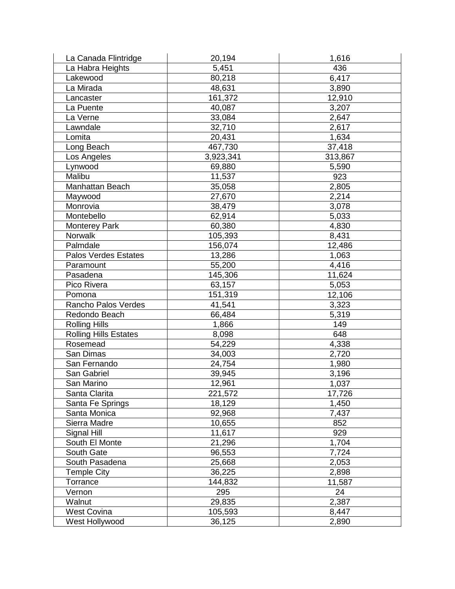| La Canada Flintridge         | 20,194    | 1,616   |
|------------------------------|-----------|---------|
| La Habra Heights             | 5,451     | 436     |
| Lakewood                     | 80,218    | 6,417   |
| La Mirada                    | 48,631    | 3,890   |
| Lancaster                    | 161,372   | 12,910  |
| La Puente                    | 40,087    | 3,207   |
| La Verne                     | 33,084    | 2,647   |
| Lawndale                     | 32,710    | 2,617   |
| Lomita                       | 20,431    | 1,634   |
| Long Beach                   | 467,730   | 37,418  |
| Los Angeles                  | 3,923,341 | 313,867 |
| Lynwood                      | 69,880    | 5,590   |
| Malibu                       | 11,537    | 923     |
| Manhattan Beach              | 35,058    | 2,805   |
| Maywood                      | 27,670    | 2,214   |
| Monrovia                     | 38,479    | 3,078   |
| Montebello                   | 62,914    | 5,033   |
| <b>Monterey Park</b>         | 60,380    | 4,830   |
| Norwalk                      | 105,393   | 8,431   |
| Palmdale                     | 156,074   | 12,486  |
| Palos Verdes Estates         | 13,286    | 1,063   |
| Paramount                    | 55,200    | 4,416   |
| Pasadena                     | 145,306   | 11,624  |
| Pico Rivera                  | 63,157    | 5,053   |
| Pomona                       | 151,319   | 12,106  |
| Rancho Palos Verdes          | 41,541    | 3,323   |
| Redondo Beach                | 66,484    | 5,319   |
| <b>Rolling Hills</b>         | 1,866     | 149     |
| <b>Rolling Hills Estates</b> | 8,098     | 648     |
| Rosemead                     | 54,229    | 4,338   |
| San Dimas                    | 34,003    | 2,720   |
| San Fernando                 | 24,754    | 1,980   |
| San Gabriel                  | 39,945    | 3,196   |
| San Marino                   | 12,961    | 1,037   |
| Santa Clarita                | 221,572   | 17,726  |
| Santa Fe Springs             | 18,129    | 1,450   |
| Santa Monica                 | 92,968    | 7,437   |
| Sierra Madre                 | 10,655    | 852     |
| Signal Hill                  | 11,617    | 929     |
| South El Monte               | 21,296    | 1,704   |
| South Gate                   | 96,553    | 7,724   |
| South Pasadena               | 25,668    | 2,053   |
| <b>Temple City</b>           | 36,225    | 2,898   |
| Torrance                     | 144,832   | 11,587  |
| Vernon                       | 295       | 24      |
| Walnut                       | 29,835    | 2,387   |
| <b>West Covina</b>           | 105,593   | 8,447   |
| West Hollywood               | 36,125    | 2,890   |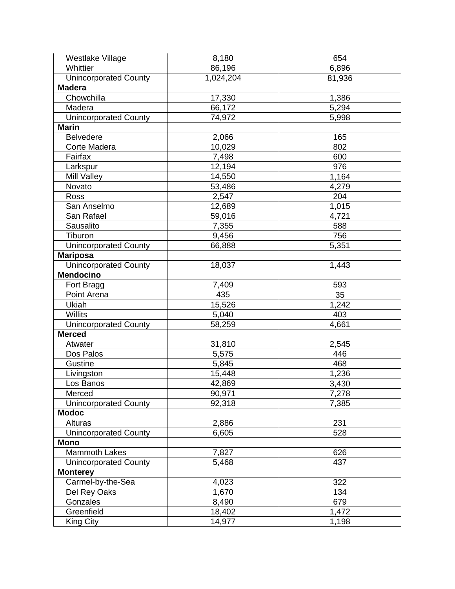| Westlake Village             | 8,180     | 654    |
|------------------------------|-----------|--------|
| Whittier                     | 86,196    | 6,896  |
| <b>Unincorporated County</b> | 1,024,204 | 81,936 |
| <b>Madera</b>                |           |        |
| Chowchilla                   | 17,330    | 1,386  |
| Madera                       | 66,172    | 5,294  |
| <b>Unincorporated County</b> | 74,972    | 5,998  |
| <b>Marin</b>                 |           |        |
| <b>Belvedere</b>             | 2,066     | 165    |
| Corte Madera                 | 10,029    | 802    |
| Fairfax                      | 7,498     | 600    |
| Larkspur                     | 12,194    | 976    |
| Mill Valley                  | 14,550    | 1,164  |
| Novato                       | 53,486    | 4,279  |
| Ross                         | 2,547     | 204    |
| San Anselmo                  | 12,689    | 1,015  |
| San Rafael                   | 59,016    | 4,721  |
| Sausalito                    | 7,355     | 588    |
| Tiburon                      | 9,456     | 756    |
| <b>Unincorporated County</b> | 66,888    | 5,351  |
| <b>Mariposa</b>              |           |        |
| <b>Unincorporated County</b> | 18,037    | 1,443  |
| <b>Mendocino</b>             |           |        |
| Fort Bragg                   | 7,409     | 593    |
| Point Arena                  | 435       | 35     |
| Ukiah                        | 15,526    | 1,242  |
| <b>Willits</b>               | 5,040     | 403    |
| <b>Unincorporated County</b> | 58,259    | 4,661  |
| <b>Merced</b>                |           |        |
| Atwater                      | 31,810    | 2,545  |
| Dos Palos                    | 5,575     | 446    |
| Gustine                      | 5,845     | 468    |
| Livingston                   | 15,448    | 1,236  |
| Los Banos                    | 42,869    | 3,430  |
| Merced                       | 90,971    | 7,278  |
| <b>Unincorporated County</b> | 92,318    | 7,385  |
| <b>Modoc</b>                 |           |        |
| Alturas                      | 2,886     | 231    |
| <b>Unincorporated County</b> | 6,605     | 528    |
| <b>Mono</b>                  |           |        |
| <b>Mammoth Lakes</b>         | 7,827     | 626    |
| <b>Unincorporated County</b> | 5,468     | 437    |
| <b>Monterey</b>              |           |        |
| Carmel-by-the-Sea            | 4,023     | 322    |
| Del Rey Oaks                 | 1,670     | 134    |
| Gonzales                     | 8,490     | 679    |
| Greenfield                   | 18,402    | 1,472  |
| King City                    | 14,977    | 1,198  |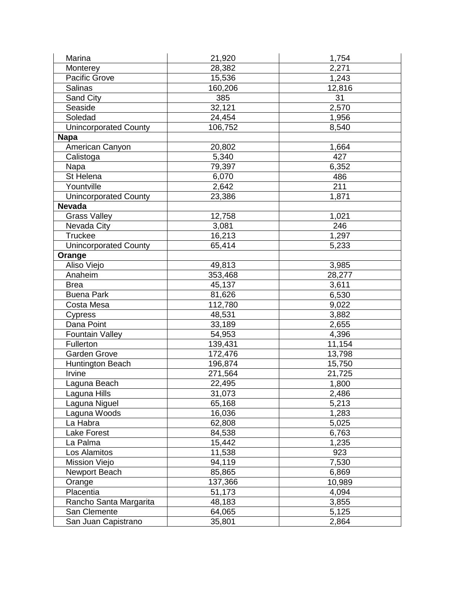| Marina                       | 21,920  | 1,754  |
|------------------------------|---------|--------|
| Monterey                     | 28,382  | 2,271  |
| Pacific Grove                | 15,536  | 1,243  |
| <b>Salinas</b>               | 160,206 | 12,816 |
| Sand City                    | 385     | 31     |
| Seaside                      | 32,121  | 2,570  |
| Soledad                      | 24,454  | 1,956  |
| <b>Unincorporated County</b> | 106,752 | 8,540  |
| <b>Napa</b>                  |         |        |
| American Canyon              | 20,802  | 1,664  |
| Calistoga                    | 5,340   | 427    |
| Napa                         | 79,397  | 6,352  |
| St Helena                    | 6,070   | 486    |
| Yountville                   | 2,642   | 211    |
| <b>Unincorporated County</b> | 23,386  | 1,871  |
| <b>Nevada</b>                |         |        |
| <b>Grass Valley</b>          | 12,758  | 1,021  |
| Nevada City                  | 3,081   | 246    |
| Truckee                      | 16,213  | 1,297  |
| <b>Unincorporated County</b> | 65,414  | 5,233  |
| Orange                       |         |        |
| Aliso Viejo                  | 49,813  | 3,985  |
| Anaheim                      | 353,468 | 28,277 |
| <b>Brea</b>                  | 45,137  | 3,611  |
| <b>Buena Park</b>            | 81,626  | 6,530  |
| Costa Mesa                   | 112,780 | 9,022  |
| Cypress                      | 48,531  | 3,882  |
| Dana Point                   | 33,189  | 2,655  |
| <b>Fountain Valley</b>       | 54,953  | 4,396  |
| Fullerton                    | 139,431 | 11,154 |
| <b>Garden Grove</b>          | 172,476 | 13,798 |
| <b>Huntington Beach</b>      | 196,874 | 15,750 |
| Irvine                       | 271,564 | 21,725 |
| Laguna Beach                 | 22,495  | 1,800  |
| aguna Hills                  | 31,073  | 2,486  |
| Laguna Niguel                | 65,168  | 5,213  |
| Laguna Woods                 | 16,036  | 1,283  |
| La Habra                     | 62,808  | 5,025  |
| Lake Forest                  | 84,538  | 6,763  |
| La Palma                     | 15,442  | 1,235  |
| Los Alamitos                 | 11,538  | 923    |
| <b>Mission Viejo</b>         | 94,119  | 7,530  |
| Newport Beach                | 85,865  | 6,869  |
| Orange                       | 137,366 | 10,989 |
| Placentia                    | 51,173  | 4,094  |
| Rancho Santa Margarita       | 48,183  | 3,855  |
| San Clemente                 | 64,065  | 5,125  |
| San Juan Capistrano          | 35,801  | 2,864  |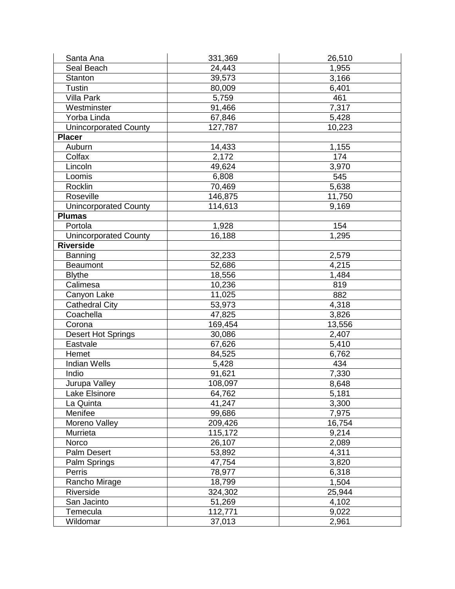| Santa Ana                    | 331,369 | 26,510 |
|------------------------------|---------|--------|
| Seal Beach                   | 24,443  | 1,955  |
| <b>Stanton</b>               | 39,573  | 3,166  |
| <b>Tustin</b>                | 80,009  | 6,401  |
| <b>Villa Park</b>            | 5,759   | 461    |
| Westminster                  | 91,466  | 7,317  |
| Yorba Linda                  | 67,846  | 5,428  |
| <b>Unincorporated County</b> | 127,787 | 10,223 |
| <b>Placer</b>                |         |        |
| Auburn                       | 14,433  | 1,155  |
| Colfax                       | 2,172   | 174    |
| Lincoln                      | 49,624  | 3,970  |
| Loomis                       | 6,808   | 545    |
| Rocklin                      | 70,469  | 5,638  |
| Roseville                    | 146,875 | 11,750 |
| <b>Unincorporated County</b> | 114,613 | 9,169  |
| <b>Plumas</b>                |         |        |
| Portola                      | 1,928   | 154    |
| <b>Unincorporated County</b> | 16,188  | 1,295  |
| <b>Riverside</b>             |         |        |
| Banning                      | 32,233  | 2,579  |
| <b>Beaumont</b>              | 52,686  | 4,215  |
| <b>Blythe</b>                | 18,556  | 1,484  |
| Calimesa                     | 10,236  | 819    |
| Canyon Lake                  | 11,025  | 882    |
| <b>Cathedral City</b>        | 53,973  | 4,318  |
| Coachella                    | 47,825  | 3,826  |
| Corona                       | 169,454 | 13,556 |
| <b>Desert Hot Springs</b>    | 30,086  | 2,407  |
| Eastvale                     | 67,626  | 5,410  |
| Hemet                        | 84,525  | 6,762  |
| <b>Indian Wells</b>          | 5,428   | 434    |
| Indio                        | 91,621  | 7,330  |
| Jurupa Valley                | 108,097 | 8,648  |
| Lake Elsinore                | 64,762  | 5,181  |
| La Quinta                    | 41,247  | 3,300  |
| Menifee                      | 99,686  | 7,975  |
| Moreno Valley                | 209,426 | 16,754 |
| Murrieta                     | 115,172 | 9,214  |
| Norco                        | 26,107  | 2,089  |
| Palm Desert                  | 53,892  | 4,311  |
| Palm Springs                 | 47,754  | 3,820  |
| Perris                       | 78,977  | 6,318  |
| Rancho Mirage                | 18,799  | 1,504  |
| Riverside                    | 324,302 | 25,944 |
| San Jacinto                  | 51,269  | 4,102  |
| Temecula                     | 112,771 | 9,022  |
| Wildomar                     | 37,013  | 2,961  |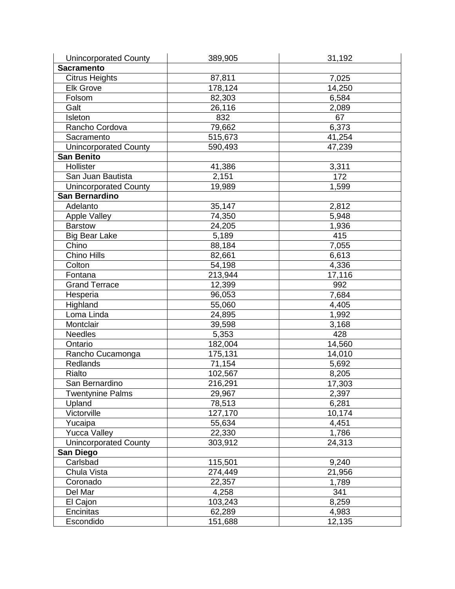| <b>Unincorporated County</b> | 389,905 | 31,192 |
|------------------------------|---------|--------|
| Sacramento                   |         |        |
| Citrus Heights               | 87,811  | 7,025  |
| <b>Elk Grove</b>             | 178,124 | 14,250 |
| Folsom                       | 82,303  | 6,584  |
| Galt                         | 26,116  | 2,089  |
| Isleton                      | 832     | 67     |
| Rancho Cordova               | 79,662  | 6,373  |
| Sacramento                   | 515,673 | 41,254 |
| <b>Unincorporated County</b> | 590,493 | 47,239 |
| <b>San Benito</b>            |         |        |
| Hollister                    | 41,386  | 3,311  |
| San Juan Bautista            | 2,151   | 172    |
| <b>Unincorporated County</b> | 19,989  | 1,599  |
| <b>San Bernardino</b>        |         |        |
| Adelanto                     | 35,147  | 2,812  |
| <b>Apple Valley</b>          | 74,350  | 5,948  |
| <b>Barstow</b>               | 24,205  | 1,936  |
| <b>Big Bear Lake</b>         | 5,189   | 415    |
| Chino                        | 88,184  | 7,055  |
| <b>Chino Hills</b>           | 82,661  | 6,613  |
| Colton                       | 54,198  | 4,336  |
| Fontana                      | 213,944 | 17,116 |
| <b>Grand Terrace</b>         | 12,399  | 992    |
| Hesperia                     | 96,053  | 7,684  |
| Highland                     | 55,060  | 4,405  |
| Loma Linda                   | 24,895  | 1,992  |
| Montclair                    | 39,598  | 3,168  |
| <b>Needles</b>               | 5,353   | 428    |
| Ontario                      | 182,004 | 14,560 |
| Rancho Cucamonga             | 175,131 | 14,010 |
| Redlands                     | 71,154  | 5,692  |
| Rialto                       | 102,567 | 8,205  |
| San Bernardino               | 216,291 | 17,303 |
| <b>Twentynine Palms</b>      | 29,967  | 2,397  |
| Upland                       | 78,513  | 6,281  |
| Victorville                  | 127,170 | 10,174 |
| Yucaipa                      | 55,634  | 4,451  |
| <b>Yucca Valley</b>          | 22,330  | 1,786  |
| <b>Unincorporated County</b> | 303,912 | 24,313 |
| San Diego                    |         |        |
| Carlsbad                     | 115,501 | 9,240  |
| Chula Vista                  | 274,449 | 21,956 |
| Coronado                     | 22,357  | 1,789  |
| Del Mar                      | 4,258   | 341    |
| El Cajon                     | 103,243 | 8,259  |
| Encinitas                    | 62,289  | 4,983  |
| Escondido                    | 151,688 | 12,135 |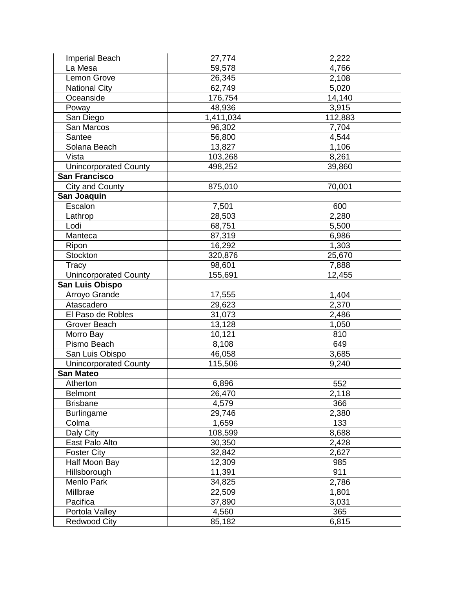| <b>Imperial Beach</b>        | 27,774    | 2,222   |
|------------------------------|-----------|---------|
| La Mesa                      | 59,578    | 4,766   |
| Lemon Grove                  | 26,345    | 2,108   |
| <b>National City</b>         | 62,749    | 5,020   |
| Oceanside                    | 176,754   | 14,140  |
| Poway                        | 48,936    | 3,915   |
| San Diego                    | 1,411,034 | 112,883 |
| San Marcos                   | 96,302    | 7,704   |
| Santee                       | 56,800    | 4,544   |
| Solana Beach                 | 13,827    | 1,106   |
| Vista                        | 103,268   | 8,261   |
| <b>Unincorporated County</b> | 498,252   | 39,860  |
| <b>San Francisco</b>         |           |         |
| <b>City and County</b>       | 875,010   | 70,001  |
| San Joaquin                  |           |         |
| Escalon                      | 7,501     | 600     |
| Lathrop                      | 28,503    | 2,280   |
| Lodi                         | 68,751    | 5,500   |
| Manteca                      | 87,319    | 6,986   |
| Ripon                        | 16,292    | 1,303   |
| <b>Stockton</b>              | 320,876   | 25,670  |
| Tracy                        | 98,601    | 7,888   |
| <b>Unincorporated County</b> | 155,691   | 12,455  |
| San Luis Obispo              |           |         |
| Arroyo Grande                | 17,555    | 1,404   |
| Atascadero                   | 29,623    | 2,370   |
| El Paso de Robles            | 31,073    | 2,486   |
| <b>Grover Beach</b>          | 13,128    | 1,050   |
| Morro Bay                    | 10,121    | 810     |
| Pismo Beach                  | 8,108     | 649     |
| San Luis Obispo              | 46,058    | 3,685   |
| <b>Unincorporated County</b> | 115,506   | 9,240   |
| <b>San Mateo</b>             |           |         |
| Atherton                     | 6,896     | 552     |
| <b>Belmont</b>               | 26,470    | 2,118   |
| <b>Brisbane</b>              | 4,579     | 366     |
| <b>Burlingame</b>            | 29,746    | 2,380   |
| Colma                        | 1,659     | 133     |
| Daly City                    | 108,599   | 8,688   |
| East Palo Alto               | 30,350    | 2,428   |
| <b>Foster City</b>           | 32,842    | 2,627   |
| Half Moon Bay                | 12,309    | 985     |
| Hillsborough                 | 11,391    | 911     |
| Menlo Park                   | 34,825    | 2,786   |
| Millbrae                     | 22,509    | 1,801   |
| Pacifica                     | 37,890    | 3,031   |
| Portola Valley               | 4,560     | 365     |
| <b>Redwood City</b>          | 85,182    | 6,815   |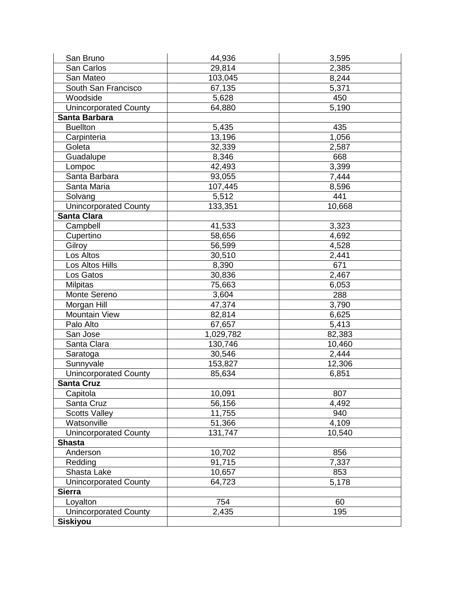| San Bruno                    | 44,936    | 3,595  |
|------------------------------|-----------|--------|
| San Carlos                   | 29,814    | 2,385  |
| San Mateo                    | 103,045   | 8,244  |
| South San Francisco          | 67,135    | 5,371  |
| Woodside                     | 5,628     | 450    |
| <b>Unincorporated County</b> | 64,880    | 5,190  |
| Santa Barbara                |           |        |
| <b>Buellton</b>              | 5,435     | 435    |
| Carpinteria                  | 13,196    | 1,056  |
| Goleta                       | 32,339    | 2,587  |
| Guadalupe                    | 8,346     | 668    |
| Lompoc                       | 42,493    | 3,399  |
| Santa Barbara                | 93,055    | 7,444  |
| Santa Maria                  | 107,445   | 8,596  |
| Solvang                      | 5,512     | 441    |
| <b>Unincorporated County</b> | 133,351   | 10,668 |
| <b>Santa Clara</b>           |           |        |
| Campbell                     | 41,533    | 3,323  |
| Cupertino                    | 58,656    | 4,692  |
| Gilroy                       | 56,599    | 4,528  |
| Los Altos                    | 30,510    | 2,441  |
| Los Altos Hills              | 8,390     | 671    |
| Los Gatos                    | 30,836    | 2,467  |
| <b>Milpitas</b>              | 75,663    | 6,053  |
| Monte Sereno                 | 3,604     | 288    |
| Morgan Hill                  | 47,374    | 3,790  |
| <b>Mountain View</b>         | 82,814    | 6,625  |
| Palo Alto                    | 67,657    | 5,413  |
| San Jose                     | 1,029,782 | 82,383 |
| Santa Clara                  | 130,746   | 10,460 |
| Saratoga                     | 30,546    | 2,444  |
| Sunnyvale                    | 153,827   | 12,306 |
| <b>Unincorporated County</b> | 85,634    | 6,851  |
| <b>Santa Cruz</b>            |           |        |
| Capitola                     | 10,091    | 807    |
| Santa Cruz                   | 56,156    | 4,492  |
| <b>Scotts Valley</b>         | 11,755    | 940    |
| Watsonville                  | 51,366    | 4,109  |
| <b>Unincorporated County</b> | 131,747   | 10,540 |
| <b>Shasta</b>                |           |        |
| Anderson                     | 10,702    | 856    |
| Redding                      | 91,715    | 7,337  |
| Shasta Lake                  | 10,657    | 853    |
| <b>Unincorporated County</b> | 64,723    | 5,178  |
| <b>Sierra</b>                |           |        |
| Loyalton                     | 754       | 60     |
| <b>Unincorporated County</b> | 2,435     | 195    |
| <b>Siskiyou</b>              |           |        |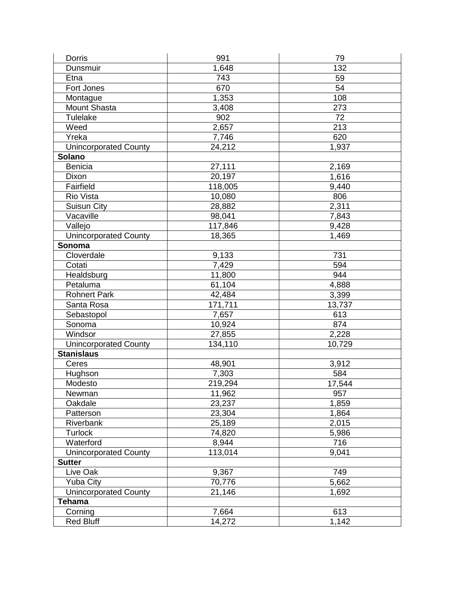| <b>Dorris</b>                | 991     | 79     |
|------------------------------|---------|--------|
| Dunsmuir                     | 1,648   | 132    |
| Etna                         | 743     | 59     |
| Fort Jones                   | 670     | 54     |
| Montague                     | 1,353   | 108    |
| Mount Shasta                 | 3,408   | 273    |
| <b>Tulelake</b>              | 902     | 72     |
| Weed                         | 2,657   | 213    |
| Yreka                        | 7,746   | 620    |
| <b>Unincorporated County</b> | 24,212  | 1,937  |
| Solano                       |         |        |
| <b>Benicia</b>               | 27,111  | 2,169  |
| Dixon                        | 20,197  | 1,616  |
| Fairfield                    | 118,005 | 9,440  |
| <b>Rio Vista</b>             | 10,080  | 806    |
| Suisun City                  | 28,882  | 2,311  |
| Vacaville                    | 98,041  | 7,843  |
| Vallejo                      | 117,846 | 9,428  |
| <b>Unincorporated County</b> | 18,365  | 1,469  |
| Sonoma                       |         |        |
| Cloverdale                   | 9,133   | 731    |
| Cotati                       | 7,429   | 594    |
| Healdsburg                   | 11,800  | 944    |
| Petaluma                     | 61,104  | 4,888  |
| <b>Rohnert Park</b>          | 42,484  | 3,399  |
| Santa Rosa                   | 171,711 | 13,737 |
| Sebastopol                   | 7,657   | 613    |
| Sonoma                       | 10,924  | 874    |
| Windsor                      | 27,855  | 2,228  |
| <b>Unincorporated County</b> | 134,110 | 10,729 |
| <b>Stanislaus</b>            |         |        |
| Ceres                        | 48,901  | 3,912  |
| Hughson                      | 7,303   | 584    |
| Modesto                      | 219,294 | 17,544 |
| Newman                       | 11,962  | 957    |
| Oakdale                      | 23,237  | 1,859  |
| Patterson                    | 23,304  | 1,864  |
| Riverbank                    | 25,189  | 2,015  |
| <b>Turlock</b>               | 74,820  | 5,986  |
| Waterford                    | 8,944   | 716    |
| <b>Unincorporated County</b> | 113,014 | 9,041  |
| <b>Sutter</b>                |         |        |
| Live Oak                     | 9,367   | 749    |
| <b>Yuba City</b>             | 70,776  | 5,662  |
| <b>Unincorporated County</b> | 21,146  | 1,692  |
| <b>Tehama</b>                |         |        |
| Corning                      | 7,664   | 613    |
| <b>Red Bluff</b>             | 14,272  | 1,142  |